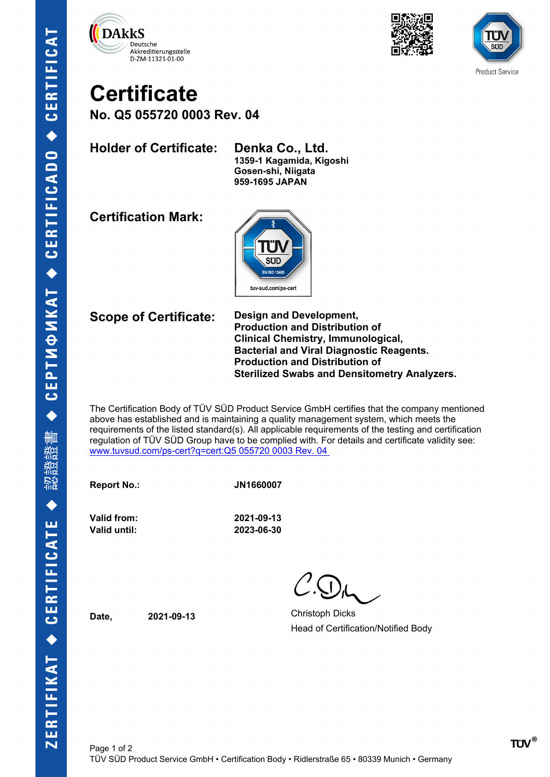





## **Certificate**

**No. Q5 055720 0003 Rev. 04**

**Holder of Certificate: Denka Co., Ltd.**

**1359-1 Kagamida, Kigoshi Gosen-shi, Niigata 959-1695 JAPAN**

**Certification Mark:**



**Scope of Certificate: Design and Development, Production and Distribution of Clinical Chemistry, Immunological, Bacterial and Viral Diagnostic Reagents. Production and Distribution of Sterilized Swabs and Densitometry Analyzers.**

The Certification Body of TÜV SÜD Product Service GmbH certifies that the company mentioned above has established and is maintaining a quality management system, which meets the requirements of the listed standard(s). All applicable requirements of the testing and certification regulation of TÜV SÜD Group have to be complied with. For details and certificate validity see: [www.tuvsud.com/ps-cert?q=cert:Q5 055720 0003 Rev. 04](http://www.tuvsud.com/ps-cert?q=cert:Q5%20055720%200003%20Rev.%2004%C2%A0) 

**Report No.: JN1660007**

**Valid from: 2021-09-13 Valid until: 2023-06-30**

**Date, 2021-09-13** Christoph Dicks Head of Certification/Notified Body